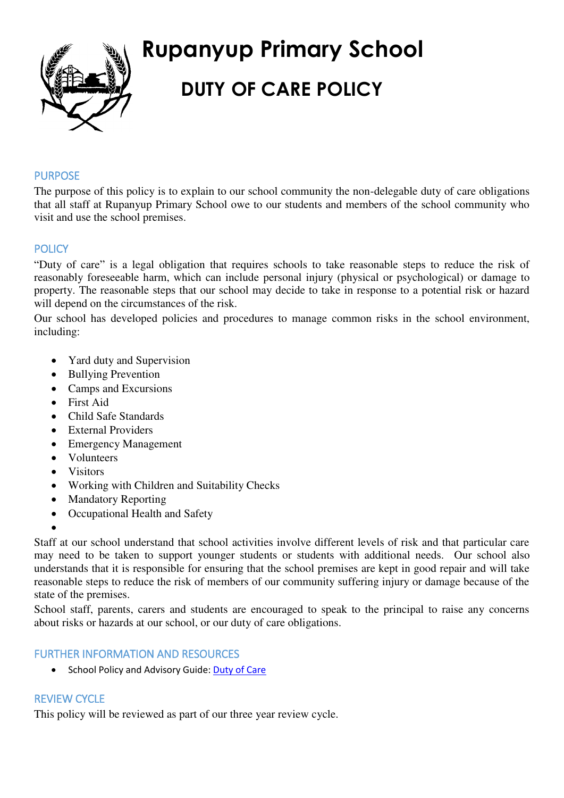

# **Rupanyup Primary School DUTY OF CARE POLICY**

#### PURPOSE

The purpose of this policy is to explain to our school community the non-delegable duty of care obligations that all staff at Rupanyup Primary School owe to our students and members of the school community who visit and use the school premises.

#### **POLICY**

"Duty of care" is a legal obligation that requires schools to take reasonable steps to reduce the risk of reasonably foreseeable harm, which can include personal injury (physical or psychological) or damage to property. The reasonable steps that our school may decide to take in response to a potential risk or hazard will depend on the circumstances of the risk.

Our school has developed policies and procedures to manage common risks in the school environment, including:

- Yard duty and Supervision
- Bullying Prevention
- Camps and Excursions
- First Aid
- Child Safe Standards
- External Providers
- Emergency Management
- Volunteers
- Visitors
- Working with Children and Suitability Checks
- Mandatory Reporting
- Occupational Health and Safety
- $\bullet$

Staff at our school understand that school activities involve different levels of risk and that particular care may need to be taken to support younger students or students with additional needs. Our school also understands that it is responsible for ensuring that the school premises are kept in good repair and will take reasonable steps to reduce the risk of members of our community suffering injury or damage because of the state of the premises.

School staff, parents, carers and students are encouraged to speak to the principal to raise any concerns about risks or hazards at our school, or our duty of care obligations.

### FURTHER INFORMATION AND RESOURCES

School Policy and Advisory Guide: [Duty of Care](http://www.education.vic.gov.au/school/principals/spag/safety/Pages/dutyofcare.aspx) 

## REVIEW CYCLE

This policy will be reviewed as part of our three year review cycle.